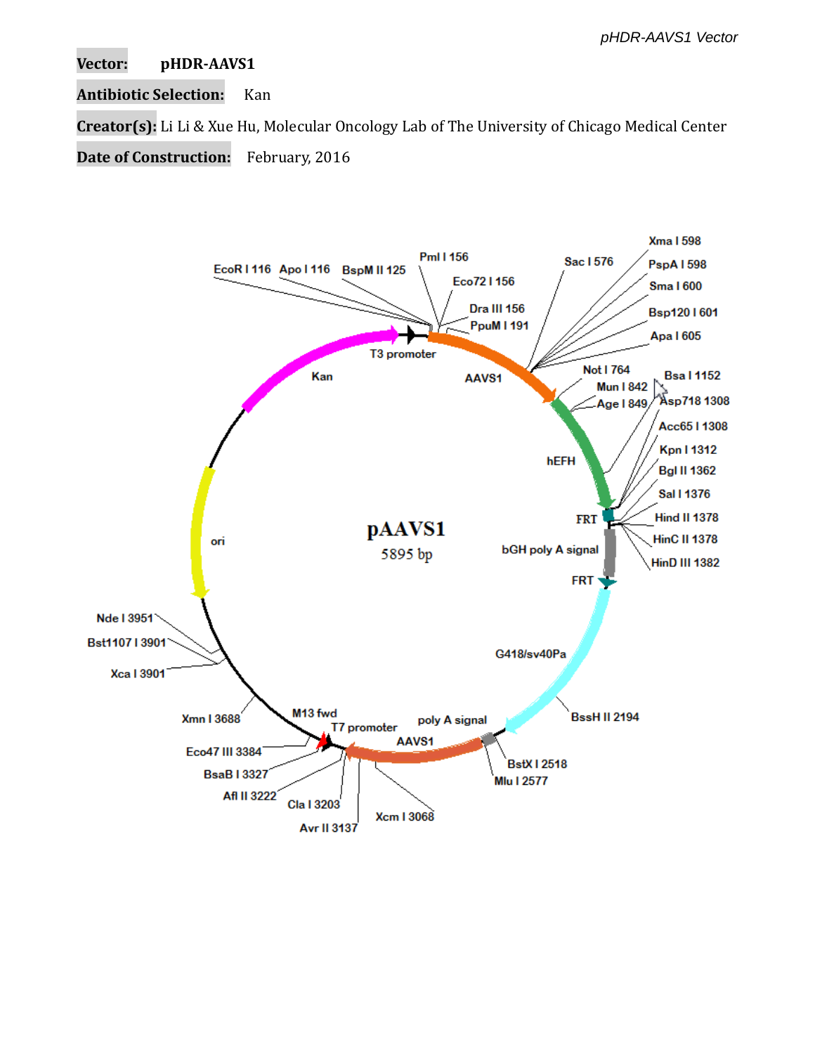**Vector: pHDR-AAVS1**

**Antibiotic Selection:** Kan

**Creator(s):** Li Li & Xue Hu, Molecular Oncology Lab of The University of Chicago Medical Center

**Date of Construction:** February, 2016

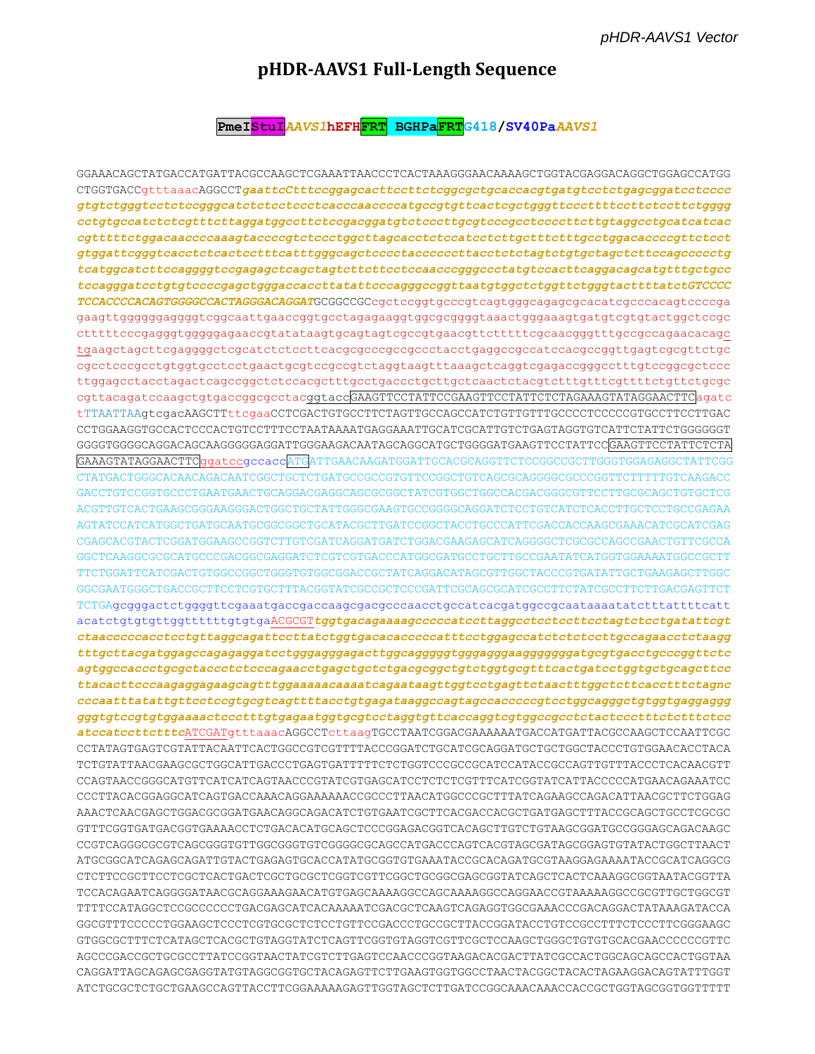# pHDR-AAVS1 Full-Length Sequence

#### PmeI<mark>StuI</mark>AAVS1hEFH<mark>FRT</mark> BGHPa<mark>FRT</mark>G418/SV40PaAAVS1

GGAAACAGCTATGACCATGATTACGCCAAGCTCGAAATTAACCCTCACTAAAGGGAACAAAAGCTGGTACGAGGACAGGCTGGAGCCATGG CTGGTGACCqtttaaacAGGCCTgaattcCtttccggagcacttccttctcggcgctgcaccacgtgatgtcctctgagcggatcctcccc gtgtctgggtcctctccgggcatctctcctcctcacccaaccccatgccgtgttcactcgctgggttcccttttccttctccttctgggg cctgtgccatctctcgtttcttaggatggccttctccgacggatgtctcccttgcgtcccgcctccccttcttgtaggcctgcatcatcac gtggattcgggtcacctctcactcctttcatttgggcagctcccctaccccccttacctctctagtctgtgctagctcttccagccccctg tcatggcatcttccaggggtccgagagctcagctagtcttcttcctccaacccgggccctatgtccacttcaggacagcatgtttgctgcc  $\verb|tccagggatectgt|tccccggagctgggaecacttatat\ttext{tcccagggccggttaatgtggctctgggttctgggtacttttatetGTCCCC$ TCCACCCCACAGTGGGGCCACTAGGGACAGGATGCGGCCGCcgctccggtgcccgtcagtgggcagagcgcacatcgcccacagtccccga gaagttgggggggggggtcggcaattgaaccggtgcctagagaaggtggcgcggggtaaactgggaaagtgatgtcgtgtactggctccgc ctttttcccgagggtggggggagaaccgtatataagtgcagtagtcgccgtgaacgttctttttcgcaacgggtttgccgccagaacacagc cgcctcccgcctgtggtgcctcctgaactgcgtccgccgtctaggtaagtttaaagctcaggtcgagaccgggcctttgtccggcgctccc cgttacagatccaagctgtgaccggcgcctacggtaccGAAGTTCCTATTCCGAAGTTCCTATTCTCTAGAAAGTATAGGAACTTCagatc CCTGGAAGGTGCCACTCCCACTGTCCTTTCCTAATAAAATGAGGAAATTGCATCGCATTGTCTGAGTAGGTGTCATTCTATTCTGGGGGGT GGGGTGGGGCAGGACAGCAAGGGGGAGGATTGGGAAGACAATAGCAGGCATGCTGGGGATGAAGTTCCTATTCCGAAGTTCCTATTCTCTA GAAAGTATAGGAACTTCggatccgccaccATGATTGAACAAGATGGATTGCACGCAGGTTCTCCGGCCGCTTGGGTGGAGAGGCTATTCGG CTATGACTGGGCACAACAGACAATCGGCTGCTCTGATGCCGCCGTGTTCCGGCTGTCAGCGCAGGGGCCCCCGGTTCTTTTTGTCAAGACC ACGTTGTCACTGAAGCGGGAAGGGACTGGCTGCTATTGGGCGAAGTGCCGGGGCAGGATCTCCTGTCATCTCACCTTGCTCCTGCCGAGAA AGTATCCATCATGGCTGATGCAATGCGGCGGCTGCATACGCTTGATCCGGCTACCTGCCCATTCGACCACCAAGCGAAACATCGCATCGAG CGAGCACGTACTCGGATGGAAGCCGGTCTTGTCGATCAGGATGATCTGGACGAAGAGCATCAGGGGCTCGCGCCAGCCGAACTGTTCGCCA GGCTCAAGGCGCGCATGCCCGACGGCGAGGATCTCGTCGTGACCCATGGCGATGCCTGCTTGCCGAATATCATGGTGGAAAATGGCCGCTT TTCTGGATTCATCGACTGTGGCCGGCTGGGTGTGGCGGACCGCTATCAGGACATAGCGTTGGCTACCCGTGATATTGCTGAAGAGCTTGGC GGCGAATGGGCTGACCGCTTCCTCGTGCTTTACGGTATCGCCGCTCCCGATTCGCAGCGCATCGCCTTCTATCGCCTTCTTGACGAGTTCT TCTGAgcgggactctggggttcgaaatgaccgaccaagcgacgcccaacctgccatcacgatggccgcaataaaatatctttattttcatt  ${\it at a accordance to the type of a surface of the three different structures, and the three different structures are used to be used.}$ tttgcttacgatggagccagagaggatcctgggagggagacttggcagggggtgggaggggaggggggatgcgtgacctgcccggttctc agtggccaccctgcgctaccctctcccagaacctgagctgctctgacgcggctgtctggtgcgtttcactgatcctggtgctgcagcttcc ttacacttcccaagaggagaagcagtttggaaaaacaaaatcagaataagttggtcctgagttctaactttggctcttcacctttctagnc cccaatttatattgttcctccgtgcgtcagttttacctgtgagataaggccagtagccacccccgtcctggcagggctgtggtgaggaggg gggtgtccgtgtggaaaactccctttgtgagaatggtgcgtcctaggtgttcaccaggtcgtggccgcctctactccctttctctttctcc atccatccttctttcATCGATgtttaaacAGGCCTcttaagTGCCTAATCGGACGAAAAAATGACCATGATTACGCCAAGCTCCAATTCGC CCTATAGTGAGTCGTATTACAATTCACTGGCCGTCGTTTTACCCGGATCTGCATCGCAGGATGCTGCTGGCTACCCTGTGGAACACCTACA TCTGTATTAACGAAGCGCTGGCATTGACCCTGAGTGATTTTTCTCTGGTCCCGCCGCATCCATACCGCCAGTTGTTTACCCTCACAACGTT CCAGTAACCGGGCATGTTCATCATCAGTAACCCGTATCGTGAGCATCCTCTCTCGTTTCATCGGTATCATTACCCCCATGAACAGAAATCC CCCTTACACGGAGGCATCAGTGACCAAACAGGAAAAAACCGCCCTTAACATGGCCCGCTTTATCAGAAGCCAGACATTAACGCTTCTGGAG AAACTCAACGAGCTGGACGCGGATGAACAGGCAGACATCTGTGAATCGCTTCACGACCACGCTGATGAGCTTTACCGCAGCTGCCTCGCGC GTTTCGGTGATGACGGTGAAAACCTCTGACACATGCAGCTCCCGGAGACGGTCACAGCTTGTCTGTAAGCGGATGCCGGGAGCAGACAAGC CCGTCAGGGCGCGTCAGCGGGTGTTGGCGGGTGTCGGGGCGCAGCCATGACCCAGTCACGTAGCGATAGCGGAGTGTATACTGGCTTAACT TCCACAGAATCAGGGGATAACGCAGGAAAGAACATGTGAGCAAAAGGCCAGCAAAAGGCCAGGAACCGTAAAAAGGCCGCGTTGCTGGCGT TTTTCCATAGGCTCCGCCCCCCTGACGAGCATCACAAAAATCGACGCTCAAGTCAGAGGTGGCGAAACCCGACAGGACTATAAAGATACCA GGCGTTTCCCCCTGGAAGCTCCCTCGTGCGCTCTCCTGTTCCGACCCTGCCGCTTACCGGATACCTGTCCGCCTTTCTCCCTTCGGGAAGC GTGGCGCTTTCTCATAGCTCACGCTGTAGGTATCTCAGTTCGGTGTAGGTCGTTCGCTCCAAGCTGGGCTGTGTGCACGAACCCCCCGTTC AGCCCGACCGCTGCGCCTTATCCGGTAACTATCGTCTTGAGTCCAACCCGGTAAGACACGACTTATCGCCACTGGCAGCAGCCACTGGTAA CAGGATTAGCAGAGCGAGGTATGTAGGCGGTGCTACAGAGTTCTTGAAGTGGTGGCCTAACTACGGCTACACTAGAAGGACAGTATTTGGT ATCTGCGCTCTGCTGAAGCCAGTTACCTTCGGAAAAAGAGTTGGTAGCTCTTGATCCGGCAAACAACCACCGCTGGTAGCGGTGGTTTTTT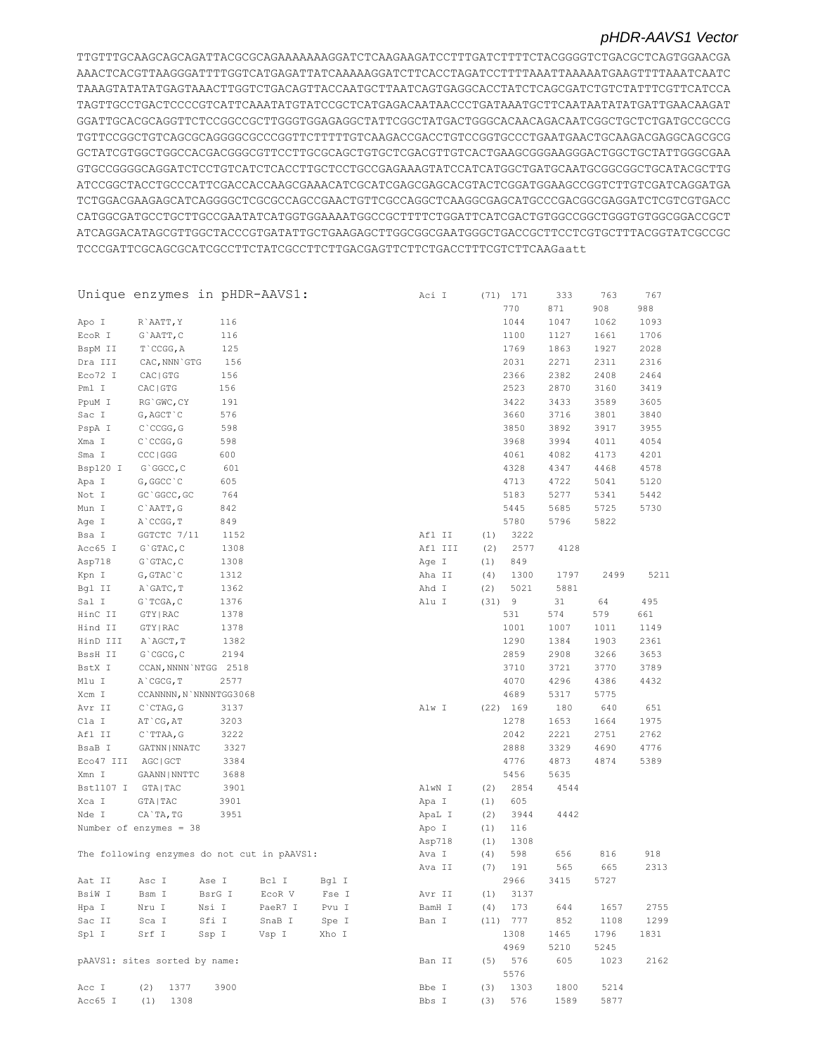TTGTTTGCAAGCAGCAGATTACGCGCAGAAAAAAAGGATCTCAAGAAGATCCTTTGATCTTTTCTACGGGGTCTGACGCTCAGTGGAACGA AAACTCACGTTAAGGGATTTTGGTCATGAGATTATCAAAAAGGATCTTCACCTAGATCCTTTTAAATTAAAAATGAAGTTTTAAATCAATC TAAAGTATATATGAGTAAACTTGGTCTGACAGTTACCAATGCTTAATCAGTGAGGCACCTATCTCAGCGATCTGTCTATTTCGTTCATCCA TAGTTGCCTGACTCCCCGTCATTCAAATATGTATCCGCTCATGAGACAATAACCCTGATAAATGCTTCAATAATATATGATTGAACAAGAT GGATTGCACGCAGGTTCTCCGGCCGCTTGGGTGGAGAGGCTATTCGGCTATGACTGGGCACAACAGACAATCGGCTGCTCTGATGCCGCCG TGTTCCGGCTGTCAGCGCAGGGGCGCCCGGTTCTTTTTGTCAAGACCGACCTGTCCGGTGCCCTGAATGAACTGCAAGACGAGGCAGCGCG GCTATCGTGGCTGGCCACGACGGGCGTTCCTTGCGCAGCTGTGCTCGACGTTGTCACTGAAGCGGGAAGGGACTGGCTGCTATTGGGCGAA GTGCCGGGGCAGGATCTCCTGTCATCTCACCTTGCTCCTGCCGAGAAAGTATCCATCATGGCTGATGCAATGCGGCGGCTGCATACGCTTG ATCCGGCTACCTGCCCATTCGACCACCAAGCGAAACATCGCATCGAGCGAGCACGTACTCGGATGGAAGCCGGTCTTGTCGATCAGGATGA TCTGGACGAAGAGCATCAGGGGCTCGCGCCAGCCGAACTGTTCGCCAGGCTCAAGGCGAGCATGCCCGACGGCGAGGATCTCGTCGTGACC CATGGCGATGCCTGCTTGCCGAATATCATGGTGGAAAATGGCCGCTTTTCTGGATTCATCGACTGTGGCCGGCTGGGTGTGGCGGACCGCT ATCAGGACATAGCGTTGGCTACCCGTGATATTGCTGAAGAGCTTGGCGGCGAATGGGCTGACCGCTTCCTCGTGCTTTACGGTATCGCCGC TCCCGATTCGCAGCGCATCGCCTTCTATCGCCTTCTTGACGAGTTCTTCTGACCTTTCGTCTTCAAGaatt

|                 | Unique enzymes in pHDR-AAVS1:               |        |         |       | Aci I           |            | $(71)$ 171 | 333         | 763  | 767  |
|-----------------|---------------------------------------------|--------|---------|-------|-----------------|------------|------------|-------------|------|------|
|                 |                                             |        |         |       |                 |            | 770        | 871         | 908  | 988  |
| Apo I           | R`AATT, Y                                   | 116    |         |       |                 |            | 1044       | 1047        | 1062 | 1093 |
| ECOR I          | G`AATT, C                                   | 116    |         |       |                 |            | 1100       | 1127        | 1661 | 1706 |
| BspM II         | $T$ $CCGG, A$                               | 125    |         |       |                 |            | 1769       | 1863        | 1927 | 2028 |
| Dra III         | CAC, NNN GTG                                | 156    |         |       |                 |            | 2031       | 2271        | 2311 | 2316 |
| Eco72 I         | CAC   GTG                                   | 156    |         |       |                 |            | 2366       | 2382        | 2408 | 2464 |
| Pml I           | CAC   GTG                                   | 156    |         |       |                 |            | 2523       | 2870        | 3160 | 3419 |
| PpuM I          | RG`GWC, CY                                  | 191    |         |       |                 |            | 3422       | 3433        | 3589 | 3605 |
| Sac I           | G, AGCT `C                                  | 576    |         |       |                 |            | 3660       | 3716        | 3801 | 3840 |
| PspA I          | $C$ $CCGG, G$                               | 598    |         |       |                 |            | 3850       | 3892        | 3917 | 3955 |
| Xma I           | $C$ $CCGG$ , $G$                            | 598    |         |       |                 |            | 3968       | 3994        | 4011 | 4054 |
| Sma I           | CCC   GGG                                   | 600    |         |       |                 |            | 4061       | 4082        | 4173 | 4201 |
| Bsp120 I        | G`GGCC, C                                   | 601    |         |       |                 |            | 4328       | 4347        | 4468 | 4578 |
| Apa I           | G, GGCC `C                                  | 605    |         |       |                 |            | 4713       | 4722        | 5041 | 5120 |
| Not I           | GC `GGCC, GC                                | 764    |         |       |                 |            | 5183       | 5277        | 5341 | 5442 |
| Mun I           | C`AATT, G                                   | 842    |         |       |                 |            | 5445       | 5685        | 5725 | 5730 |
| Age I           | A CCGG, T                                   | 849    |         |       |                 |            | 5780       | 5796        | 5822 |      |
| Bsa I           | GGTCTC 7/11                                 | 1152   |         |       | Afl II          | (1)        | 3222       |             |      |      |
| Acc65 I         | G`GTAC, C                                   | 1308   |         |       | Afl III         | (2)        | 2577       | 4128        |      |      |
| Asp718          | G`GTAC, C                                   | 1308   |         |       | Age I           | (1)        | 849        |             |      |      |
| Kpn I           | $G, GTAC$ $C$                               | 1312   |         |       | Aha II          | (4)        | 1300       | 1797        | 2499 | 5211 |
| Bgl II          | A GATC, T                                   | 1362   |         |       | Ahd I           | (2)        | 5021       | 5881        |      |      |
| Sal I           | G`TCGA, C                                   | 1376   |         |       | Alu I           | (31) 9     |            | 31          | 64   | 495  |
| HinC II         | GTY   RAC                                   | 1378   |         |       |                 |            | 531        | 574         | 579  | 661  |
| Hind II         | GTY   RAC                                   | 1378   |         |       |                 |            | 1001       | 1007        | 1011 | 1149 |
| HinD III        | A`AGCT, T                                   | 1382   |         |       |                 |            | 1290       | 1384        | 1903 | 2361 |
| BssH II         | G`CGCG, C                                   | 2194   |         |       |                 |            | 2859       | 2908        | 3266 | 3653 |
| BstX I          | CCAN, NNNN NTGG 2518                        |        |         |       |                 |            | 3710       | 3721        | 3770 | 3789 |
| Mlu I           | A CGCG, T                                   | 2577   |         |       |                 |            | 4070       | 4296        | 4386 | 4432 |
|                 | CCANNNN, N`NNNNTGG3068                      |        |         |       |                 |            | 4689       |             | 5775 |      |
| Xcm I<br>Avr II | $C$ $CTAG$ , $G$                            | 3137   |         |       | Alw I           |            | $(22)$ 169 | 5317<br>180 | 640  | 651  |
| Cla I           | AT CG, AT                                   | 3203   |         |       |                 |            | 1278       | 1653        | 1664 | 1975 |
| Afl II          |                                             | 3222   |         |       |                 |            | 2042       | 2221        | 2751 | 2762 |
| BsaB I          | $C$ TTAA, G<br>GATNN   NNATC                | 3327   |         |       |                 |            | 2888       | 3329        | 4690 | 4776 |
| Eco47 III       | AGC   GCT                                   | 3384   |         |       |                 |            | 4776       | 4873        | 4874 | 5389 |
| Xmn I           | GAANN   NNTTC                               | 3688   |         |       |                 |            | 5456       | 5635        |      |      |
| Bst1107 I       | GTA   TAC                                   | 3901   |         |       | AlwN I          | (2)        | 2854       | 4544        |      |      |
| Xca I           | GTA   TAC                                   | 3901   |         |       | Apa I           | (1)        | 605        |             |      |      |
| Nde I           | CA`TA, TG                                   | 3951   |         |       | ApaL I          | (2)        | 3944       | 4442        |      |      |
|                 | Number of enzymes = $38$                    |        |         |       | Apo I           | (1)        | 116        |             |      |      |
|                 |                                             |        |         |       | Asp718          | (1)        | 1308       |             |      |      |
|                 | The following enzymes do not cut in pAAVS1: |        |         |       |                 |            | 598        | 656         | 816  | 918  |
|                 |                                             |        |         |       | Ava I<br>Ava II | (4)<br>(7) | 191        | 565         | 665  | 2313 |
| Aat II          |                                             | Ase I  |         | Bql I |                 |            | 2966       | 3415        | 5727 |      |
|                 | Asc I                                       |        | Bcl I   |       |                 |            | 3137       |             |      |      |
| BsiW I<br>Hpa I | Bsm I                                       | BsrG I | ECOR V  | Fse I | Avr II          | (1)        |            |             |      |      |
|                 | Nru I                                       | Nsi I  | PaeR7 I | Pvu I | BamH I          | (4)        | 173        | 644         | 1657 | 2755 |
| Sac II          | Sca I                                       | Sfi I  | SnaB I  | Spe I | Ban I           |            | (11) 777   | 852         | 1108 | 1299 |
| Spl I           | Srf I                                       | Ssp I  | Vsp I   | Xho I |                 |            | 1308       | 1465        | 1796 | 1831 |
|                 |                                             |        |         |       |                 |            | 4969       | 5210        | 5245 |      |
|                 | pAAVS1: sites sorted by name:               |        |         |       | Ban II          | (5)        | 576        | 605         | 1023 | 2162 |
|                 |                                             |        |         |       |                 |            | 5576       |             |      |      |
| Acc I           | (2)<br>1377                                 | 3900   |         |       | Bbe I           | (3)        | 1303       | 1800        | 5214 |      |
| Acc65 I         | (1)<br>1308                                 |        |         |       | Bbs I           | (3)        | 576        | 1589        | 5877 |      |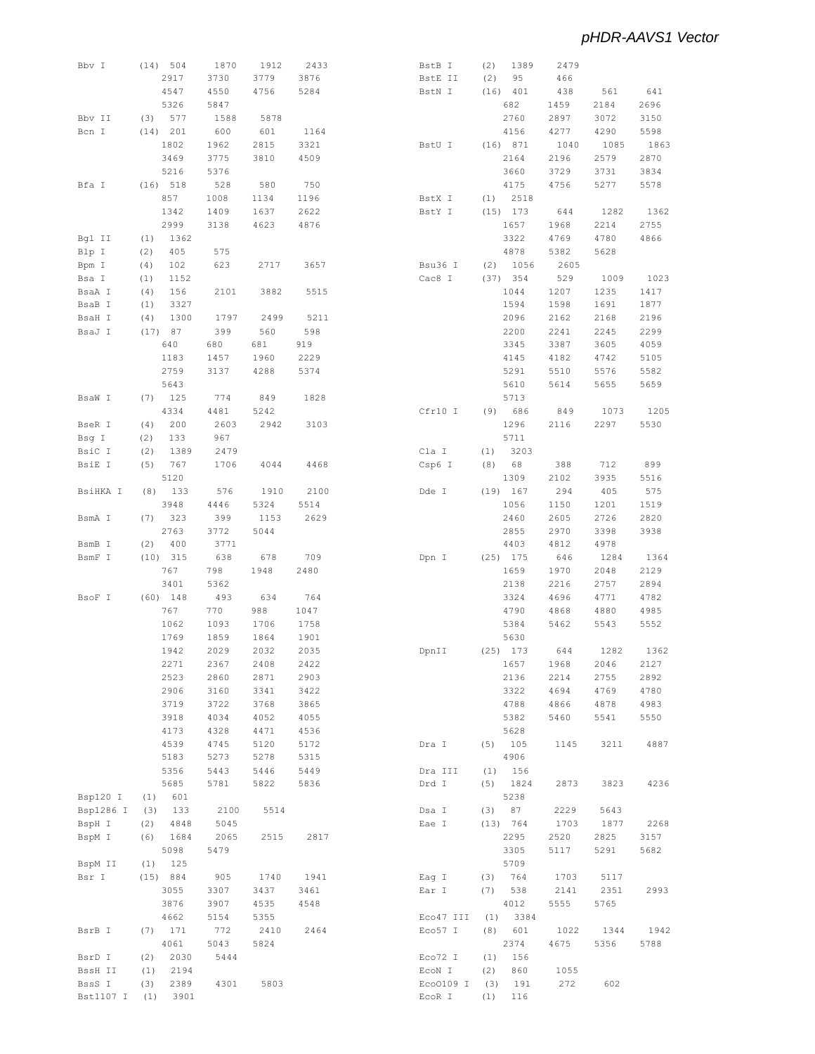| Bbv I     | (14) 504    | 1870 | 1912 | 2433 | BstB I    | (2)<br>1389 | 2479 |      |      |
|-----------|-------------|------|------|------|-----------|-------------|------|------|------|
|           | 2917        | 3730 | 3779 | 3876 | BstE II   | 95<br>(2)   | 466  |      |      |
|           | 4547        | 4550 | 4756 | 5284 | BstN I    | $(16)$ 401  | 438  | 561  | 641  |
|           | 5326        | 5847 |      |      |           | 682         | 1459 | 2184 | 2696 |
| Bbv II    | 577<br>(3)  | 1588 | 5878 |      |           | 2760        | 2897 | 3072 | 3150 |
| Bcn I     | (14) 201    | 600  | 601  | 1164 |           | 4156        | 4277 | 4290 | 5598 |
|           |             |      |      |      |           |             | 1040 |      |      |
|           | 1802        | 1962 | 2815 | 3321 | BstU I    | $(16)$ 871  |      | 1085 | 1863 |
|           | 3469        | 3775 | 3810 | 4509 |           | 2164        | 2196 | 2579 | 2870 |
|           | 5216        | 5376 |      |      |           | 3660        | 3729 | 3731 | 3834 |
| Bfa I     | (16) 518    | 528  | 580  | 750  |           | 4175        | 4756 | 5277 | 5578 |
|           | 857         | 1008 | 1134 | 1196 | BstX I    | $(1)$ 2518  |      |      |      |
|           | 1342        | 1409 | 1637 | 2622 | BstY I    | $(15)$ 173  | 644  | 1282 | 1362 |
|           | 2999        | 3138 | 4623 | 4876 |           | 1657        | 1968 | 2214 | 2755 |
| Bql II    | (1)<br>1362 |      |      |      |           | 3322        | 4769 | 4780 | 4866 |
| Blp I     | 405<br>(2)  | 575  |      |      |           | 4878        | 5382 | 5628 |      |
| Bpm I     | 102<br>(4)  | 623  | 2717 | 3657 | Bsu36 I   | 1056<br>(2) | 2605 |      |      |
| Bsa I     | (1)<br>1152 |      |      |      | Cac8 I    | (37) 354    | 529  | 1009 | 1023 |
|           | 156<br>(4)  | 2101 | 3882 | 5515 |           | 1044        | 1207 | 1235 | 1417 |
| BsaA I    |             |      |      |      |           |             |      |      |      |
| BsaB I    | 3327<br>(1) |      |      |      |           | 1594        | 1598 | 1691 | 1877 |
| BsaH I    | (4)<br>1300 | 1797 | 2499 | 5211 |           | 2096        | 2162 | 2168 | 2196 |
| BsaJ I    | (17) 87     | 399  | 560  | 598  |           | 2200        | 2241 | 2245 | 2299 |
|           | 640         | 680  | 681  | 919  |           | 3345        | 3387 | 3605 | 4059 |
|           | 1183        | 1457 | 1960 | 2229 |           | 4145        | 4182 | 4742 | 5105 |
|           | 2759        | 3137 | 4288 | 5374 |           | 5291        | 5510 | 5576 | 5582 |
|           | 5643        |      |      |      |           | 5610        | 5614 | 5655 | 5659 |
| BsaW I    | $(7)$ 125   | 774  | 849  | 1828 |           | 5713        |      |      |      |
|           | 4334        | 4481 | 5242 |      | Cfr10 I   | (9) 686     | 849  | 1073 | 1205 |
| BseR I    | 200<br>(4)  | 2603 | 2942 | 3103 |           | 1296        | 2116 | 2297 | 5530 |
| Bsg I     | (2)<br>133  | 967  |      |      |           | 5711        |      |      |      |
|           |             |      |      |      |           |             |      |      |      |
| BsiC I    | (2)<br>1389 | 2479 |      |      | Cla I     | 3203<br>(1) |      |      |      |
| BsiE I    | 767<br>(5)  | 1706 | 4044 | 4468 | Csp6 I    | 68<br>(8)   | 388  | 712  | 899  |
|           | 5120        |      |      |      |           | 1309        | 2102 | 3935 | 5516 |
| BsiHKA I  | 133<br>(8)  | 576  | 1910 | 2100 | Dde I     | $(19)$ 167  | 294  | 405  | 575  |
|           | 3948        | 4446 | 5324 | 5514 |           | 1056        | 1150 | 1201 | 1519 |
| BsmA I    | $(7)$ 323   | 399  | 1153 | 2629 |           | 2460        | 2605 | 2726 | 2820 |
|           | 2763        | 3772 | 5044 |      |           | 2855        | 2970 | 3398 | 3938 |
| BsmB I    | 400<br>(2)  | 3771 |      |      |           | 4403        | 4812 | 4978 |      |
| BsmF I    | $(10)$ 315  | 638  | 678  | 709  | Dpn I     | $(25)$ 175  | 646  | 1284 | 1364 |
|           | 767         | 798  | 1948 | 2480 |           | 1659        | 1970 | 2048 | 2129 |
|           |             |      |      |      |           |             |      |      |      |
|           | 3401        | 5362 |      |      |           | 2138        | 2216 | 2757 | 2894 |
| BsoF I    | $(60)$ 148  | 493  | 634  | 764  |           | 3324        | 4696 | 4771 | 4782 |
|           | 767         | 770  | 988  | 1047 |           | 4790        | 4868 | 4880 | 4985 |
|           | 1062        | 1093 | 1706 | 1758 |           | 5384        | 5462 | 5543 | 5552 |
|           | 1769        | 1859 | 1864 | 1901 |           | 5630        |      |      |      |
|           | 1942        | 2029 | 2032 | 2035 | DpnII     | $(25)$ 173  | 644  | 1282 | 1362 |
|           | 2271        | 2367 | 2408 | 2422 |           | 1657        | 1968 | 2046 | 2127 |
|           | 2523        | 2860 | 2871 | 2903 |           | 2136        | 2214 | 2755 | 2892 |
|           | 2906        | 3160 | 3341 | 3422 |           | 3322        | 4694 | 4769 | 4780 |
|           | 3719        | 3722 | 3768 | 3865 |           | 4788        | 4866 | 4878 | 4983 |
|           | 3918        | 4034 | 4052 | 4055 |           | 5382        | 5460 | 5541 | 5550 |
|           |             |      |      |      |           |             |      |      |      |
|           | 4173        | 4328 | 4471 | 4536 |           | 5628        |      |      |      |
|           | 4539        | 4745 | 5120 | 5172 | Dra I     | 105<br>(5)  | 1145 | 3211 | 4887 |
|           | 5183        | 5273 | 5278 | 5315 |           | 4906        |      |      |      |
|           | 5356        | 5443 | 5446 | 5449 | Dra III   | 156<br>(1)  |      |      |      |
|           | 5685        | 5781 | 5822 | 5836 | Drd I     | (5)<br>1824 | 2873 | 3823 | 4236 |
| Bsp120 I  | (1)<br>601  |      |      |      |           | 5238        |      |      |      |
| Bsp1286 I | 133<br>(3)  | 2100 | 5514 |      | Dsa I     | 87<br>(3)   | 2229 | 5643 |      |
| BspH I    | (2)<br>4848 | 5045 |      |      | Eae I     | (13) 764    | 1703 | 1877 | 2268 |
| BspM I    | (6)<br>1684 | 2065 | 2515 | 2817 |           | 2295        | 2520 | 2825 | 3157 |
|           | 5098        | 5479 |      |      |           | 3305        | 5117 | 5291 | 5682 |
| BspM II   | 125<br>(1)  |      |      |      |           | 5709        |      |      |      |
| Bsr I     | (15) 884    | 905  | 1740 | 1941 | Eag I     | 764<br>(3)  | 1703 |      |      |
|           |             |      |      |      |           |             |      | 5117 |      |
|           | 3055        | 3307 | 3437 | 3461 | Ear I     | (7)<br>538  | 2141 | 2351 | 2993 |
|           | 3876        | 3907 | 4535 | 4548 |           | 4012        | 5555 | 5765 |      |
|           | 4662        | 5154 | 5355 |      | Eco47 III | (1)<br>3384 |      |      |      |
| BsrB I    | 171<br>(7)  | 772  | 2410 | 2464 | Eco57 I   | (8)<br>601  | 1022 | 1344 | 1942 |
|           | 4061        | 5043 | 5824 |      |           | 2374        | 4675 | 5356 | 5788 |
| BsrD I    | 2030<br>(2) | 5444 |      |      | Eco72 I   | 156<br>(1)  |      |      |      |
| BssH II   | 2194<br>(1) |      |      |      | ECON I    | (2)<br>860  | 1055 |      |      |
| BssS I    | (3)<br>2389 | 4301 | 5803 |      | Eco0109 I | (3)<br>191  | 272  | 602  |      |
| Bst1107 I | 3901<br>(1) |      |      |      | EcoR I    | (1)<br>116  |      |      |      |
|           |             |      |      |      |           |             |      |      |      |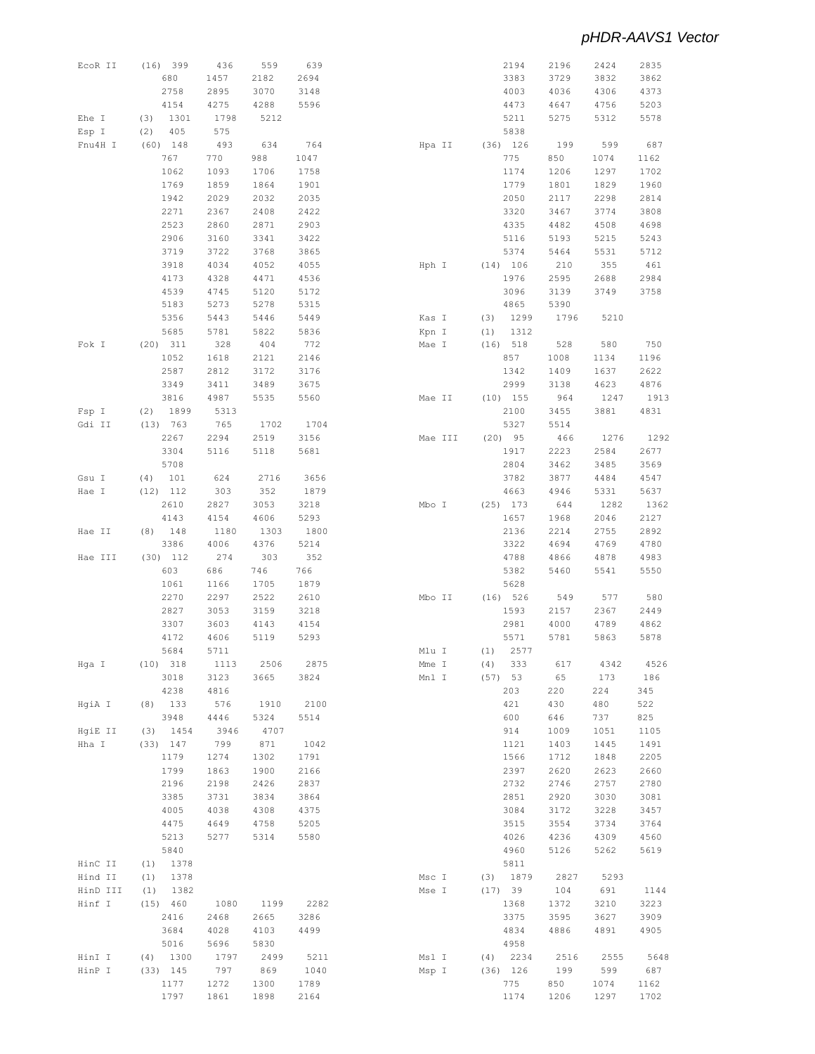| EcoR II  | (16) 399    | 436  | 559  | 639  |        |         | 2194        | 2196 | 2424 | 2835 |
|----------|-------------|------|------|------|--------|---------|-------------|------|------|------|
|          | 680         | 1457 | 2182 | 2694 |        |         | 3383        | 3729 | 3832 | 3862 |
|          | 2758        | 2895 | 3070 | 3148 |        |         | 4003        | 4036 | 4306 | 4373 |
|          | 4154        | 4275 | 4288 | 5596 |        |         | 4473        | 4647 | 4756 | 5203 |
|          |             |      |      |      |        |         |             |      |      |      |
| Ehe I    | (3)<br>1301 | 1798 | 5212 |      |        |         | 5211        | 5275 | 5312 | 5578 |
| Esp I    | 405<br>(2)  | 575  |      |      |        |         | 5838        |      |      |      |
| Fnu4H I  | $(60)$ 148  | 493  | 634  | 764  |        | Hpa II  | $(36)$ 126  | 199  | 599  | 687  |
|          | 767         | 770  | 988  | 1047 |        |         | 775         | 850  | 1074 | 1162 |
|          |             |      |      |      |        |         |             |      |      |      |
|          | 1062        | 1093 | 1706 | 1758 |        |         | 1174        | 1206 | 1297 | 1702 |
|          | 1769        | 1859 | 1864 | 1901 |        |         | 1779        | 1801 | 1829 | 1960 |
|          | 1942        | 2029 | 2032 | 2035 |        |         | 2050        | 2117 | 2298 | 2814 |
|          | 2271        | 2367 | 2408 | 2422 |        |         | 3320        | 3467 | 3774 | 3808 |
|          | 2523        | 2860 | 2871 | 2903 |        |         | 4335        | 4482 | 4508 | 4698 |
|          | 2906        |      | 3341 | 3422 |        |         |             |      |      |      |
|          |             | 3160 |      |      |        |         | 5116        | 5193 | 5215 | 5243 |
|          | 3719        | 3722 | 3768 | 3865 |        |         | 5374        | 5464 | 5531 | 5712 |
|          | 3918        | 4034 | 4052 | 4055 | Hph I  |         | (14) 106    | 210  | 355  | 461  |
|          | 4173        | 4328 | 4471 | 4536 |        |         | 1976        | 2595 | 2688 | 2984 |
|          | 4539        | 4745 | 5120 | 5172 |        |         | 3096        | 3139 | 3749 | 3758 |
|          | 5183        | 5273 | 5278 | 5315 |        |         | 4865        | 5390 |      |      |
|          |             |      |      |      |        |         |             |      |      |      |
|          | 5356        | 5443 | 5446 | 5449 | Kas I  | (3)     | 1299        | 1796 | 5210 |      |
|          | 5685        | 5781 | 5822 | 5836 | Kpn I  | (1)     | 1312        |      |      |      |
| Fok I    | $(20)$ 311  | 328  | 404  | 772  | Mae I  |         | $(16)$ 518  | 528  | 580  | 750  |
|          | 1052        | 1618 | 2121 | 2146 |        |         | 857         | 1008 | 1134 | 1196 |
|          | 2587        | 2812 | 3172 | 3176 |        |         | 1342        | 1409 | 1637 | 2622 |
|          |             |      |      |      |        |         |             |      |      |      |
|          | 3349        | 3411 | 3489 | 3675 |        |         | 2999        | 3138 | 4623 | 4876 |
|          | 3816        | 4987 | 5535 | 5560 | Mae II |         | $(10)$ 155  | 964  | 1247 | 1913 |
| Fsp I    | 1899<br>(2) | 5313 |      |      |        |         | 2100        | 3455 | 3881 | 4831 |
| Gdi II   | (13) 763    | 765  | 1702 | 1704 |        |         | 5327        | 5514 |      |      |
|          | 2267        | 2294 | 2519 | 3156 |        | Mae III | $(20)$ 95   | 466  | 1276 | 1292 |
|          |             |      |      |      |        |         |             |      |      |      |
|          | 3304        | 5116 | 5118 | 5681 |        |         | 1917        | 2223 | 2584 | 2677 |
|          | 5708        |      |      |      |        |         | 2804        | 3462 | 3485 | 3569 |
| Gsu I    | (4)<br>101  | 624  | 2716 | 3656 |        |         | 3782        | 3877 | 4484 | 4547 |
| Hae I    | $(12)$ 112  | 303  | 352  | 1879 |        |         | 4663        | 4946 | 5331 | 5637 |
|          | 2610        | 2827 | 3053 | 3218 | Mbo I  |         |             | 644  | 1282 | 1362 |
|          |             |      |      |      |        |         | $(25)$ 173  |      |      |      |
|          | 4143        | 4154 | 4606 | 5293 |        |         | 1657        | 1968 | 2046 | 2127 |
| Hae II   | $(8)$ 148   | 1180 | 1303 | 1800 |        |         | 2136        | 2214 | 2755 | 2892 |
|          | 3386        | 4006 | 4376 | 5214 |        |         | 3322        | 4694 | 4769 | 4780 |
| Hae III  | $(30)$ 112  | 274  | 303  | 352  |        |         | 4788        | 4866 | 4878 | 4983 |
|          |             |      |      |      |        |         |             |      |      |      |
|          | 603         | 686  | 746  | 766  |        |         | 5382        | 5460 | 5541 | 5550 |
|          | 1061        | 1166 | 1705 | 1879 |        |         | 5628        |      |      |      |
|          | 2270        | 2297 | 2522 | 2610 | Mbo II |         | (16) 526    | 549  | 577  | 580  |
|          | 2827        | 3053 | 3159 | 3218 |        |         | 1593        | 2157 | 2367 | 2449 |
|          | 3307        | 3603 | 4143 | 4154 |        |         | 2981        | 4000 | 4789 | 4862 |
|          |             |      | 5119 | 5293 |        |         | 5571        | 5781 | 5863 | 5878 |
|          | 4172        | 4606 |      |      |        |         |             |      |      |      |
|          | 5684        | 5711 |      |      | Mlu I  |         | 2577<br>(1) |      |      |      |
| Hga I    | $(10)$ 318  | 1113 | 2506 | 2875 | Mme I  |         | (4)<br>333  | 617  | 4342 | 4526 |
|          | 3018        | 3123 | 3665 | 3824 | Mnl I  |         | $(57)$ 53   | 65   | 173  | 186  |
|          | 4238        | 4816 |      |      |        |         | 203         | 220  | 224  | 345  |
|          |             |      |      |      |        |         |             |      |      |      |
| HgiA I   | $(8)$ 133   | 576  | 1910 | 2100 |        |         | 421         | 430  | 480  | 522  |
|          | 3948        | 4446 | 5324 | 5514 |        |         | 600         | 646  | 737  | 825  |
| HgiE II  | $(3)$ 1454  | 3946 | 4707 |      |        |         | 914         | 1009 | 1051 | 1105 |
| Hha I    | $(33)$ 147  | 799  | 871  | 1042 |        |         | 1121        | 1403 | 1445 | 1491 |
|          | 1179        | 1274 | 1302 | 1791 |        |         | 1566        | 1712 | 1848 | 2205 |
|          |             |      |      |      |        |         |             |      |      |      |
|          | 1799        | 1863 | 1900 | 2166 |        |         | 2397        | 2620 | 2623 | 2660 |
|          | 2196        | 2198 | 2426 | 2837 |        |         | 2732        | 2746 | 2757 | 2780 |
|          | 3385        | 3731 | 3834 | 3864 |        |         | 2851        | 2920 | 3030 | 3081 |
|          | 4005        | 4038 | 4308 | 4375 |        |         | 3084        | 3172 | 3228 | 3457 |
|          | 4475        | 4649 | 4758 | 5205 |        |         | 3515        | 3554 | 3734 | 3764 |
|          |             |      | 5314 | 5580 |        |         |             |      |      |      |
|          | 5213        | 5277 |      |      |        |         | 4026        | 4236 | 4309 | 4560 |
|          | 5840        |      |      |      |        |         | 4960        | 5126 | 5262 | 5619 |
| HinC II  | 1378<br>(1) |      |      |      |        |         | 5811        |      |      |      |
| Hind II  | 1378<br>(1) |      |      |      | Msc I  |         | $(3)$ 1879  | 2827 | 5293 |      |
| HinD III | 1382<br>(1) |      |      |      | Mse I  |         | (17) 39     | 104  | 691  | 1144 |
|          |             |      |      |      |        |         |             |      |      |      |
| Hinf I   | (15) 460    | 1080 | 1199 | 2282 |        |         | 1368        | 1372 | 3210 | 3223 |
|          | 2416        | 2468 | 2665 | 3286 |        |         | 3375        | 3595 | 3627 | 3909 |
|          | 3684        | 4028 | 4103 | 4499 |        |         | 4834        | 4886 | 4891 | 4905 |
|          | 5016        | 5696 | 5830 |      |        |         | 4958        |      |      |      |
| HinI I   | $(4)$ 1300  | 1797 | 2499 | 5211 | Msl I  |         | $(4)$ 2234  | 2516 | 2555 | 5648 |
|          |             |      |      |      |        |         |             |      |      |      |
| HinP I   | $(33)$ 145  | 797  | 869  | 1040 | Msp I  |         | $(36)$ 126  | 199  | 599  | 687  |
|          | 1177        | 1272 | 1300 | 1789 |        |         | 775         | 850  | 1074 | 1162 |
|          | 1797        | 1861 | 1898 | 2164 |        |         | 1174        | 1206 | 1297 | 1702 |
|          |             |      |      |      |        |         |             |      |      |      |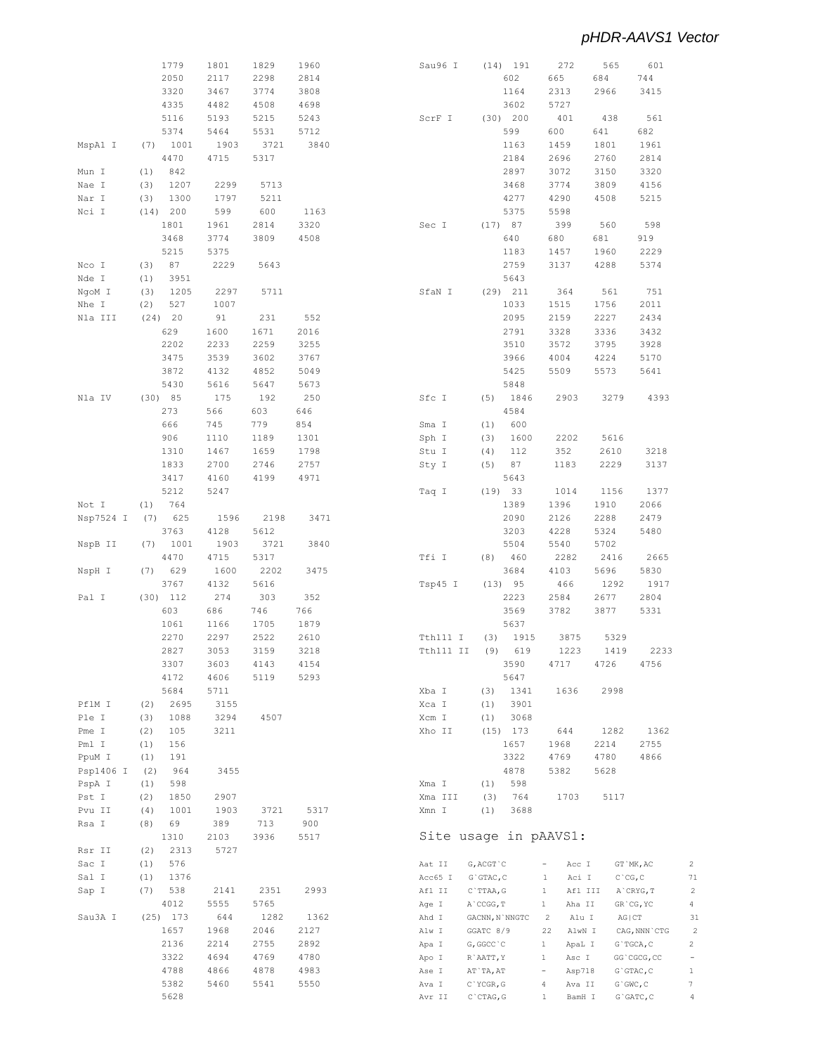$\sqrt{2}$  $7\sqrt{1}$  $\overline{\mathbf{c}}$  $\overline{4}$  $31\,$  $\overline{\phantom{a}}$  $\sqrt{2}$  $\frac{1}{\sqrt{2}}$  $\,1\,$  $\overline{\mathcal{I}}$  $\sqrt{4}$ 

|           | 1779        | 1801 | 1829 | 1960 | Sau96 I   | 191<br>(14)      | 272                     | 565         | 601             |
|-----------|-------------|------|------|------|-----------|------------------|-------------------------|-------------|-----------------|
|           | 2050        | 2117 | 2298 | 2814 |           | 602              | 665                     | 684         | 744             |
|           | 3320        | 3467 | 3774 | 3808 |           | 1164             | 2313                    | 2966        | 3415            |
|           |             |      |      |      |           |                  |                         |             |                 |
|           | 4335        | 4482 | 4508 | 4698 |           | 3602             | 5727                    |             |                 |
|           | 5116        | 5193 | 5215 | 5243 | ScrF I    | $(30)$ 200       | 401                     | 438         | 561             |
|           | 5374        | 5464 | 5531 | 5712 |           | 599              | 600                     | 641         | 682             |
| MspA1 I   | 1001<br>(7) | 1903 | 3721 | 3840 |           | 1163             | 1459                    | 1801        | 1961            |
|           | 4470        | 4715 | 5317 |      |           | 2184             | 2696                    | 2760        | 2814            |
|           |             |      |      |      |           |                  |                         |             |                 |
| Mun I     | (1)<br>842  |      |      |      |           | 2897             | 3072                    | 3150        | 3320            |
| Nae I     | (3)<br>1207 | 2299 | 5713 |      |           | 3468             | 3774                    | 3809        | 4156            |
| Nar I     | 1300<br>(3) | 1797 | 5211 |      |           | 4277             | 4290                    | 4508        | 5215            |
| Nci I     | (14) 200    | 599  | 600  | 1163 |           | 5375             | 5598                    |             |                 |
|           | 1801        | 1961 | 2814 | 3320 | Sec I     | (17) 87          | 399                     | 560         | 598             |
|           |             |      |      |      |           |                  |                         |             |                 |
|           | 3468        | 3774 | 3809 | 4508 |           | 640              | 680                     | 681         | 919             |
|           | 5215        | 5375 |      |      |           | 1183             | 1457                    | 1960        | 2229            |
| Nco I     | (3)<br>87   | 2229 | 5643 |      |           | 2759             | 3137                    | 4288        | 5374            |
| Nde I     | (1)<br>3951 |      |      |      |           | 5643             |                         |             |                 |
|           | 1205<br>(3) | 2297 | 5711 |      | SfaN I    | $(29)$ $211$     | 364                     | 561         | 751             |
| NgoM I    |             |      |      |      |           |                  |                         |             |                 |
| Nhe I     | (2)<br>527  | 1007 |      |      |           | 1033             | 1515                    | 1756        | 2011            |
| Nla III   | $(24)$ 20   | 91   | 231  | 552  |           | 2095             | 2159                    | 2227        | 2434            |
|           | 629         | 1600 | 1671 | 2016 |           | 2791             | 3328                    | 3336        | 3432            |
|           | 2202        | 2233 | 2259 | 3255 |           | 3510             | 3572                    | 3795        | 3928            |
|           | 3475        | 3539 |      | 3767 |           | 3966             | 4004                    |             |                 |
|           |             |      | 3602 |      |           |                  |                         | 4224        | 5170            |
|           | 3872        | 4132 | 4852 | 5049 |           | 5425             | 5509                    | 5573        | 5641            |
|           | 5430        | 5616 | 5647 | 5673 |           | 5848             |                         |             |                 |
| Nla IV    | (30) 85     | 175  | 192  | 250  | Sfc I     | (5)<br>1846      | 2903                    | 3279        | 4393            |
|           | 273         | 566  | 603  | 646  |           | 4584             |                         |             |                 |
|           |             |      |      |      |           |                  |                         |             |                 |
|           | 666         | 745  | 779  | 854  | Sma I     | 600<br>(1)       |                         |             |                 |
|           | 906         | 1110 | 1189 | 1301 | Sph I     | (3)<br>1600      | 2202                    | 5616        |                 |
|           | 1310        | 1467 | 1659 | 1798 | Stu I     | (4)<br>112       | 352                     | 2610        | 3218            |
|           | 1833        | 2700 | 2746 | 2757 | Sty I     | 87<br>(5)        | 1183                    | 2229        | 3137            |
|           | 3417        | 4160 | 4199 | 4971 |           | 5643             |                         |             |                 |
|           |             |      |      |      |           |                  |                         |             |                 |
|           | 5212        | 5247 |      |      | Taq I     | 33<br>(19)       | 1014                    | 1156        | 1377            |
| Not I     | (1)<br>764  |      |      |      |           | 1389             | 1396                    | 1910        | 2066            |
| Nsp7524 I | (7)<br>625  | 1596 | 2198 | 3471 |           | 2090             | 2126                    | 2288        | 2479            |
|           | 3763        | 4128 | 5612 |      |           | 3203             | 4228                    | 5324        | 5480            |
| NspB II   | 1001<br>(7) | 1903 | 3721 | 3840 |           | 5504             | 5540                    | 5702        |                 |
|           |             |      |      |      |           |                  |                         |             |                 |
|           | 4470        | 4715 | 5317 |      | Tfi I     | (8)<br>460       | 2282                    | 2416        | 2665            |
| NspH I    | 629<br>(7)  | 1600 | 2202 | 3475 |           | 3684             | 4103                    | 5696        | 5830            |
|           | 3767        | 4132 | 5616 |      | Tsp45 I   | (13) 95          | 466                     | 1292        | 1917            |
| Pal I     | $(30)$ 112  | 274  | 303  | 352  |           | 2223             | 2584                    | 2677        | 2804            |
|           | 603         | 686  | 746  | 766  |           | 3569             | 3782                    | 3877        | 5331            |
|           |             |      |      |      |           |                  |                         |             |                 |
|           | 1061        | 1166 | 1705 | 1879 |           | 5637             |                         |             |                 |
|           | 2270        | 2297 | 2522 | 2610 | Tth111 I  | (3)<br>1915      | 3875                    | 5329        |                 |
|           | 2827        | 3053 | 3159 | 3218 | Tth111 II | (9)<br>619       | 1223                    | 1419        | 2233            |
|           | 3307        | 3603 | 4143 | 4154 |           | 3590             | 4717                    | 4726        | 4756            |
|           | 4172        | 4606 | 5119 | 5293 |           | 5647             |                         |             |                 |
|           |             |      |      |      |           |                  |                         |             |                 |
|           | 5684        | 5711 |      |      | Xba I     | 1341<br>(3)      | 1636                    | 2998        |                 |
| PflM I    | 2695<br>(2) | 3155 |      |      | Xca I     | 3901<br>(1)      |                         |             |                 |
| Ple I     | (3)<br>1088 | 3294 | 4507 |      | Xcm I     | 3068<br>(1)      |                         |             |                 |
| Pme I     | (2)<br>105  | 3211 |      |      | Xho II    | $(15)$ 173       | 644                     | 1282        | 1362            |
| Pml I     | 156<br>(1)  |      |      |      |           | 1657             | 1968                    | 2214        | 2755            |
|           |             |      |      |      |           |                  |                         |             |                 |
| PpuM I    | (1)<br>191  |      |      |      |           | 3322             | 4769                    | 4780        | 4866            |
| Psp1406 I | (2)<br>964  | 3455 |      |      |           | 4878             | 5382                    | 5628        |                 |
| PspA I    | (1)<br>598  |      |      |      | Xma I     | 598<br>(1)       |                         |             |                 |
| Pst I     | (2)<br>1850 | 2907 |      |      | Xma III   | (3)<br>764       | 1703                    | 5117        |                 |
| Pvu II    | 1001        | 1903 | 3721 | 5317 | Xmn I     | (1)<br>3688      |                         |             |                 |
|           | (4)         |      |      |      |           |                  |                         |             |                 |
| Rsa I     | (8)<br>69   | 389  | 713  | 900  |           |                  |                         |             |                 |
|           | 1310        | 2103 | 3936 | 5517 |           |                  | Site usage in pAAVS1:   |             |                 |
| Rsr II    | (2)<br>2313 | 5727 |      |      |           |                  |                         |             |                 |
| Sac I     |             |      |      |      | Aat II    | $G$ , $ACGT$ $C$ | $\equiv$<br>Acc I       |             | GT `MK, AC      |
|           |             |      |      |      |           |                  |                         |             |                 |
|           | (1)<br>576  |      |      |      |           |                  |                         |             |                 |
| Sal I     | (1)<br>1376 |      |      |      | Acc65 I   | $G$ GTAC, $C$    | $\mathbf{1}$<br>Aci I   | $C$ $CG, C$ |                 |
| Sap I     | (7)<br>538  | 2141 | 2351 | 2993 | Afl II    | $C$ `TTAA, G     | $\mathbf{1}$<br>Afl III |             | A`CRYG, T       |
|           | 4012        | 5555 | 5765 |      | Age I     | A`CCGG, T        | Aha II<br>$\mathbf{1}$  |             | GR'CG, YC       |
| Sau3A I   | $(25)$ 173  | 644  | 1282 | 1362 | Ahd I     | GACNN, N`NNGTC   | Alu I<br>$\overline{c}$ | $AG$ $ CT$  |                 |
|           |             |      |      |      |           |                  |                         |             |                 |
|           | 1657        | 1968 | 2046 | 2127 | Alw I     | GGATC 8/9        | 22<br>AlwN I            |             | CAG, NNN `CTG   |
|           | 2136        | 2214 | 2755 | 2892 | Apa I     | G, GGCC C        | $\mathbf{1}$<br>ApaL I  |             | G`TGCA, C       |
|           | 3322        | 4694 | 4769 | 4780 | Apo I     | R`AATT, Y        | $\mathbf{1}$<br>Asc I   |             | GG`CGCG, CC     |
|           | 4788        | 4866 | 4878 | 4983 | Ase I     | AT`TA, AT        | $\equiv$<br>Asp718      |             | $G$ GTAC, $C$   |
|           | 5382        | 5460 | 5541 | 5550 | Ava I     | C`YCGR, G        | 4<br>Ava II             |             | $G$ $GWC$ , $C$ |
|           | 5628        |      |      |      | Avr II    | $C$ $CTAG, G$    | BamH I<br>$\mathbf{1}$  |             | $G$ GATC, $C$   |